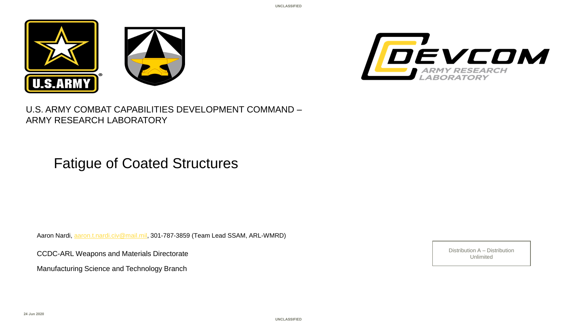





U.S. ARMY COMBAT CAPABILITIES DEVELOPMENT COMMAND – ARMY RESEARCH LABORATORY

## Fatigue of Coated Structures

Aaron Nardi, [aaron.t.nardi.civ@mail.mil,](mailto:aaron.t.nardi.civ@mail.mil) 301-787-3859 (Team Lead SSAM, ARL-WMRD)

Unlimited CCDC-ARL Weapons and Materials Directorate **CCDC** ARL Weapons and Materials Directorate

Manufacturing Science and Technology Branch

Distribution A – Distribution

**UNCLASSIFIED**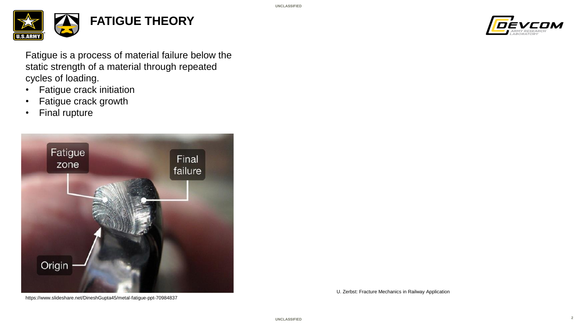



Fatigue is a process of material failure below the static strength of a material through repeated cycles of loading.

- Fatigue crack initiation
- Fatigue crack growth
- Final rupture



https://www.slideshare.net/DineshGupta45/metal-fatigue-ppt-70984837

U. Zerbst: Fracture Mechanics in Railway Application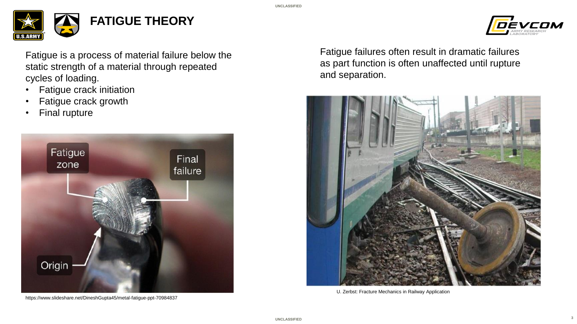



**3**

Fatigue is a process of material failure below the static strength of a material through repeated cycles of loading.

- Fatigue crack initiation
- Fatigue crack growth
- Final rupture



https://www.slideshare.net/DineshGupta45/metal-fatigue-ppt-70984837

Fatigue failures often result in dramatic failures as part function is often unaffected until rupture and separation.



U. Zerbst: Fracture Mechanics in Railway Application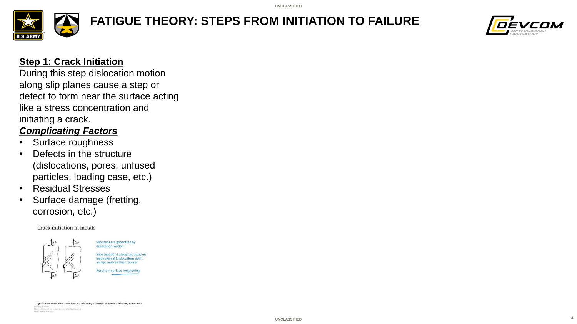

# **FATIGUE THEORY: STEPS FROM INITIATION TO FAILURE**



### **Step 1: Crack Initiation**

During this step dislocation motion along slip planes cause a step or defect to form near the surface acting like a stress concentration and initiating a crack.

## *Complicating Factors*

- Surface roughness
- Defects in the structure (dislocations, pores, unfused particles, loading case, etc.)
- Residual Stresses
- Surface damage (fretting, corrosion, etc.)

#### Crack initiation in metals



Slip steps are generated by dislocation motion Slip steps don't always go away on load reversal (dislocations don't always reverse their course) Results in surface roughening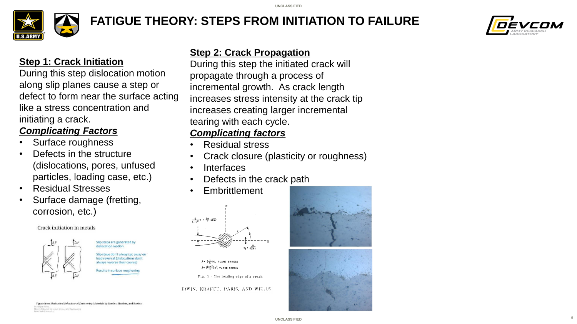

## **FATIGUE THEORY: STEPS FROM INITIATION TO FAILURE**



### **Step 1: Crack Initiation**

During this step dislocation motion along slip planes cause a step or defect to form near the surface acting like a stress concentration and initiating a crack.

## *Complicating Factors*

- Surface roughness
- Defects in the structure (dislocations, pores, unfused particles, loading case, etc.)
- Residual Stresses
- Surface damage (fretting, corrosion, etc.)

#### Crack initiation in metals



Slip steps are generated by slip steps don't always go away o load reversal (dislocations don Results in surface rougheni

### **Step 2: Crack Propagation**

During this step the initiated crack will propagate through a process of incremental growth. As crack length increases stress intensity at the crack tip increases creating larger incremental tearing with each cycle.

## *Complicating factors*

- Residual stress
- Crack closure (plasticity or roughness)
- **Interfaces**
- Defects in the crack path
- **Embrittlement**



 $b$  =  $(\frac{1}{F})$ K, PLANE STRESS  $J: \left(\frac{1-\nu^2}{E}\right)K^2$ , PLANE STRAIN

Fig. 1 - The leading edge of a crack

IRWIN, KRAFFT, PARIS, AND WELLS





igure from Mechanical Behaviour of Engineering Materials by Roesler, Harders, and Baeker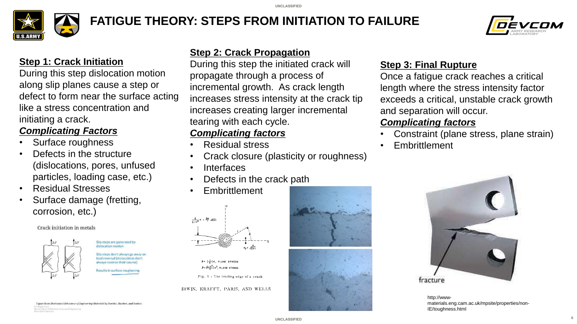

## **FATIGUE THEORY: STEPS FROM INITIATION TO FAILURE**



### **Step 1: Crack Initiation**

During this step dislocation motion along slip planes cause a step or defect to form near the surface acting like a stress concentration and initiating a crack.

## *Complicating Factors*

- Surface roughness
- Defects in the structure (dislocations, pores, unfused particles, loading case, etc.)
- Residual Stresses
- Surface damage (fretting, corrosion, etc.)

#### Crack initiation in metals



Slip steps are generated by ilip steps don't always go away c esults in surface rougheni

### **Step 2: Crack Propagation**

During this step the initiated crack will propagate through a process of incremental growth. As crack length increases stress intensity at the crack tip increases creating larger incremental tearing with each cycle.

## *Complicating factors*

- Residual stress
- Crack closure (plasticity or roughness)
- **Interfaces**
- Defects in the crack path
- **Embrittlement**



 $b$  =  $(\frac{1}{F})$ K, PLANE STRESS  $b$  =  $(\frac{1-\nu^2}{\epsilon})$   $\kappa^2$ , PLANE STRAIN

Fig. 1 - The leading edge of a crack

#### IRWIN, KRAFFT, PARIS, AND WELLS



### **Step 3: Final Rupture**

Once a fatigue crack reaches a critical length where the stress intensity factor exceeds a critical, unstable crack growth and separation will occur.

### *Complicating factors*

- Constraint (plane stress, plane strain)
- **Embrittlement**



http://wwwmaterials.eng.cam.ac.uk/mpsite/properties/non-IE/toughness.html

**6**

igure from Mechanical Behaviour of Engineering Materials by Roesler, Harders, and Baeker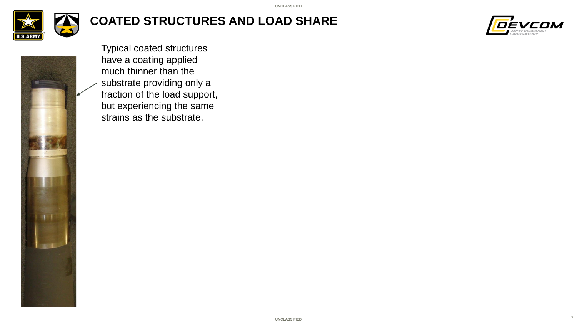

## **COATED STRUCTURES AND LOAD SHARE**





Typical coated structures have a coating applied much thinner than the substrate providing only a fraction of the load support, but experiencing the same strains as the substrate.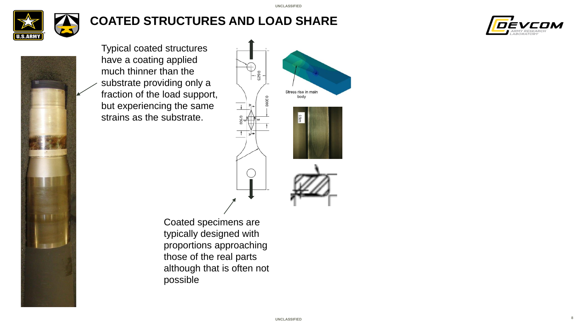

## **COATED STRUCTURES AND LOAD SHARE**



**8**



Typical coated structures have a coating applied much thinner than the substrate providing only a fraction of the load support, but experiencing the same strains as the substrate.



Coated specimens are typically designed with proportions approaching those of the real parts although that is often not possible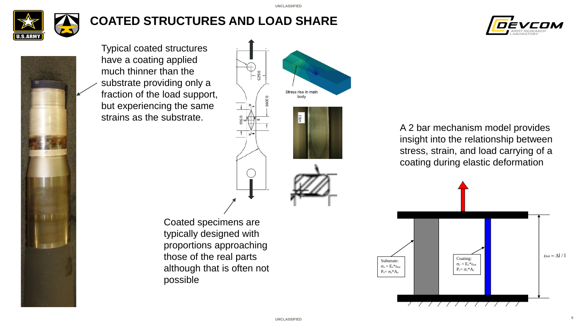

## **COATED STRUCTURES AND LOAD SHARE**



**9**



Typical coated structures have a coating applied much thinner than the substrate providing only a fraction of the load support, but experiencing the same strains as the substrate.



Coated specimens are typically designed with proportions approaching those of the real parts although that is often not possible

A 2 bar mechanism model provides insight into the relationship between stress, strain, and load carrying of a coating during elastic deformation

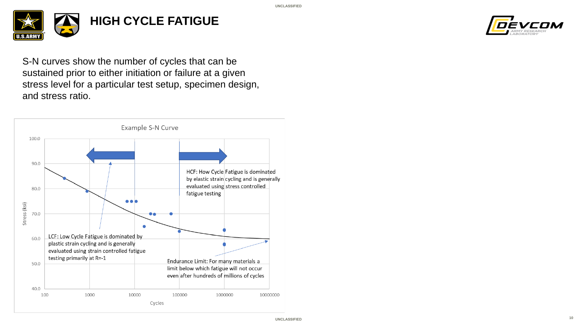



S-N curves show the number of cycles that can be sustained prior to either initiation or failure at a given stress level for a particular test setup, specimen design, and stress ratio.

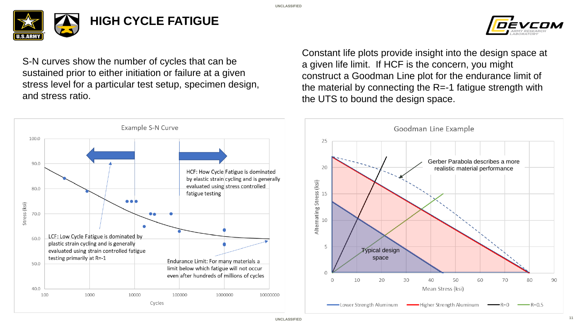

S-N curves show the number of cycles that can be sustained prior to either initiation or failure at a given stress level for a particular test setup, specimen design, and stress ratio.



Constant life plots provide insight into the design space at a given life limit. If HCF is the concern, you might construct a Goodman Line plot for the endurance limit of the material by connecting the R=-1 fatigue strength with the UTS to bound the design space.

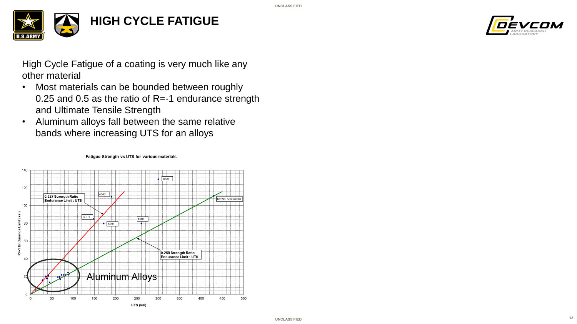



High Cycle Fatigue of a coating is very much like any other material

- Most materials can be bounded between roughly 0.25 and 0.5 as the ratio of R=-1 endurance strength and Ultimate Tensile Strength
- Aluminum alloys fall between the same relative bands where increasing UTS for an alloys



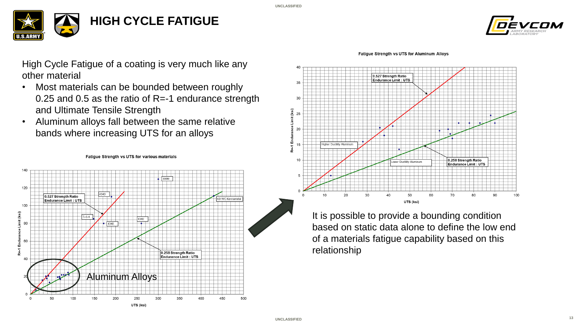





High Cycle Fatigue of a coating is very much like any other material

- Most materials can be bounded between roughly 0.25 and 0.5 as the ratio of R=-1 endurance strength and Ultimate Tensile Strength
- Aluminum alloys fall between the same relative bands where increasing UTS for an alloys





It is possible to provide a bounding condition based on static data alone to define the low end of a materials fatigue capability based on this relationship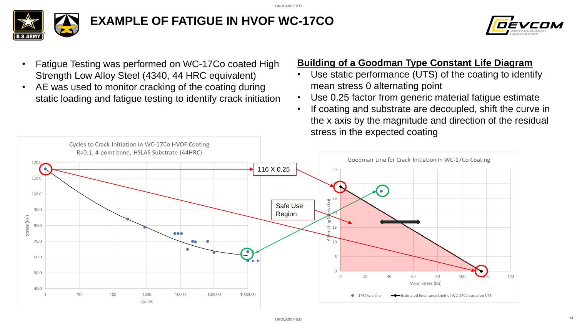**UNCLASSIFIED**





- Fatigue Testing was performed on WC-17Co coated High Strength Low Alloy Steel (4340, 44 HRC equivalent)
- AE was used to monitor cracking of the coating during static loading and fatigue testing to identify crack initiation

## **Building of a Goodman Type Constant Life Diagram**

- Use static performance (UTS) of the coating to identify mean stress 0 alternating point
- Use 0.25 factor from generic material fatigue estimate
- If coating and substrate are decoupled, shift the curve in the x axis by the magnitude and direction of the residual stress in the expected coating

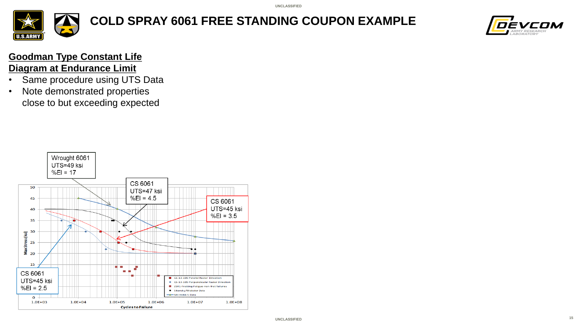

**COLD SPRAY 6061 FREE STANDING COUPON EXAMPLE**



## **Goodman Type Constant Life Diagram at Endurance Limit**

- Same procedure using UTS Data
- Note demonstrated properties close to but exceeding expected

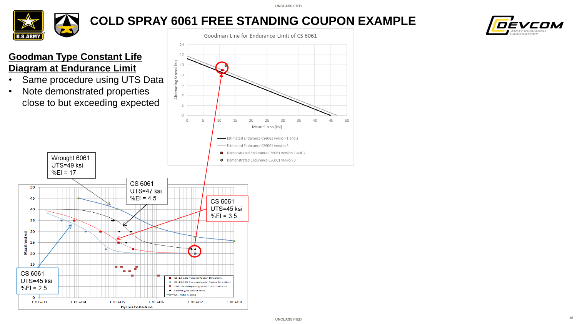

## **COLD SPRAY 6061 FREE STANDING COUPON EXAMPLE**



## **Goodman Type Constant Life Diagram at Endurance Limit**

- Same procedure using UTS Data
- Note demonstrated properties close to but exceeding expected

Wrought 6061

 $1.0E + 04$ 

 $1.0E + 05$ 

UTS=49 ksi  $%EI = 17$ 

50

45

40

35

MaxStress (ksi)<br>2<br>2<br>2<br>2

15

CS 6061

UTS=45 ksi

 $%El = 2.5$ 

 $\mathbf{o}$  $1.0E + 03$ 



 $1.0E + 08$ 

ZE41-Fretting-Fatigue-non-fret failures

 $1.0E + 07$ 

· Sikorsky/Webster Data Mil-hnbk-5 Data

 $1.0E + 06$ 

**Cycles to Failure**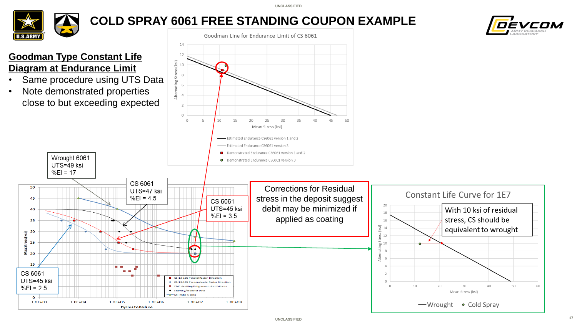

## **COLD SPRAY 6061 FREE STANDING COUPON EXAMPLE**

Goodman Line for Endurance Limit of CS 6061



## **Goodman Type Constant Life Diagram at Endurance Limit**

Wrought 6061

 $1.0E + 04$ 

 $1.0E + 05$ 

UTS=49 ksi  $%EI = 17$ 

50

45

40

35

 $MaxStress(ksi)$ <br>  $20$ <br>  $20$ 

20

15 CS 6061

UTS=45 ksi

 $%EI = 2.5$ 

 $\mathbf{o}$  $1.0E + 03$ 

- Same procedure using UTS Data
- Note demonstrated properties close to but exceeding expected

CS 6061

 $%EI = 4.5$ 

 $1.0E + 06$ 

**Cycles to Failure** 

 $1.0E + 07$ 

 $1.0E + 08$ 



60

-Wrought

• Cold Sprav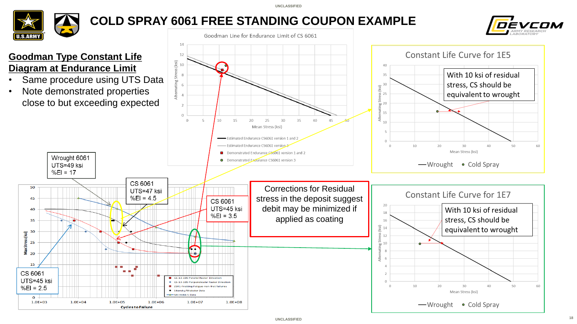

50

45

40

35

 $MaxStress(ksi)$ <br>  $20$ <br>  $20$ 

20

15 CS 6061

UTS=45 ksi

 $%EI = 2.5$ 

 $\mathbf{o}$  $1.0E + 03$ 

## **COLD SPRAY 6061 FREE STANDING COUPON EXAMPLE**

Goodman Line for Endurance Limit of CS 6061





- Same procedure using UTS Data
- Note demonstrated properties close to but exceeding expected

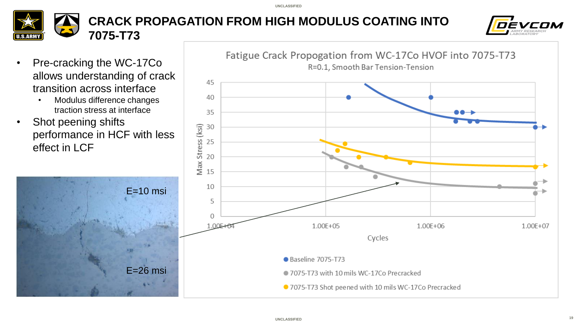### **CRACK PROPAGATION FROM HIGH MODULUS COATING INTO TAN 7075-T73**



- Pre-cracking the WC-17Co allows understanding of crack transition across interface
	- Modulus difference changes traction stress at interface
- Shot peening shifts performance in HCF with less effect in LCF

E=26 msi

 $E=10$  msi

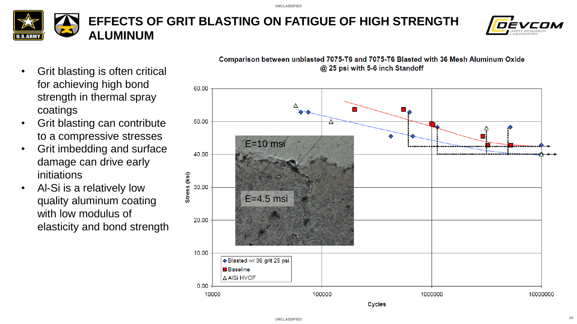



- Grit blasting is often critical for achieving high bond strength in thermal spray coatings
- Grit blasting can contribute to a compressive stresses
- Grit imbedding and surface damage can drive early initiations
- Al-Si is a relatively low quality aluminum coating with low modulus of elasticity and bond strength



Comparison between unblasted 7075-T6 and 7075-T6 Blasted with 36 Mesh Aluminum Oxide @ 25 psi with 5-6 inch Standoff